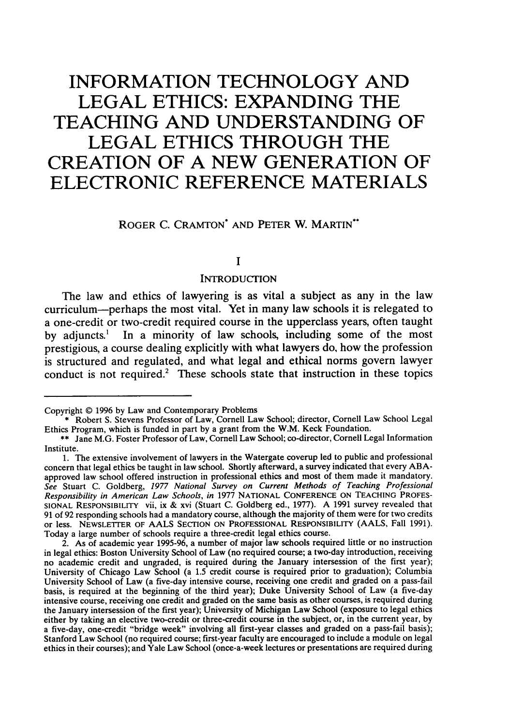# **INFORMATION TECHNOLOGY AND LEGAL ETHICS: EXPANDING THE TEACHING AND UNDERSTANDING OF LEGAL ETHICS THROUGH THE CREATION OF A NEW GENERATION OF ELECTRONIC REFERENCE MATERIALS**

ROGER C. CRAMTON\* **AND** PETER W. MARTIN\*

#### **I**

#### **INTRODUCTION**

The law and ethics of lawyering is as vital a subject as any in the law curriculum-perhaps the most vital. Yet in many law schools it is relegated to a one-credit or two-credit required course in the upperclass years, often taught by adjuncts.<sup>1</sup> In a minority of law schools, including some of the most prestigious, a course dealing explicitly with what lawyers do, how the profession is structured and regulated, and what legal and ethical norms govern lawyer conduct is not required.<sup>2</sup> These schools state that instruction in these topics

Copyright © 1996 by Law and Contemporary Problems

<sup>\*</sup> Robert S. Stevens Professor of Law, Cornell Law School; director, Cornell Law School Legal Ethics Program, which is funded in part by a grant from the W.M. Keck Foundation.

<sup>\*\*</sup> Jane M.G. Foster Professor of Law, Cornell Law School; co-director, Cornell Legal Information Institute.

<sup>1.</sup> The extensive involvement of lawyers in the Watergate coverup led to public and professional concern that legal ethics be taught in law school. Shortly afterward, a survey indicated that every ABAapproved law school offered instruction in professional ethics and most of them made it mandatory. See Stuart C. Goldberg, *1977 National* Survey *on* Current Methods of *Teaching Professional* Responsibility in *American Law* Schools, *in* 1977 NATIONAL CONFERENCE ON TEACHING PROFES-SIONAL RESPONSIBILITY vii, ix & xvi (Stuart C. Goldberg ed., 1977). A 1991 survey revealed that 91 of 92 responding schools had a mandatory course, although the majority of them were for two credits or less. NEWSLETTER OF AALS SECTION ON PROFESSIONAL RESPONSIBILITY (AALS, Fall 1991). Today a large number of schools require a three-credit legal ethics course.

<sup>2.</sup> As of academic year 1995-96, a number of major law schools required little or no instruction in legal ethics: Boston University School of Law (no required course; a two-day introduction, receiving no academic credit and ungraded, is required during the January intersession of the first year); University of Chicago Law School (a 1.5 credit course is required prior to graduation); Columbia University School of Law (a five-day intensive course, receiving one credit and graded on a pass-fail basis, is required at the beginning of the third year); Duke University School of Law (a five-day intensive course, receiving one credit and graded on the same basis as other courses, is required during the January intersession of the first year); University of Michigan Law School (exposure to legal ethics either by taking an elective two-credit or three-credit course in the subject, or, in the current year, by a five-day, one-credit "bridge week" involving all first-year classes and graded on a pass-fail basis); Stanford Law School (no required course; first-year faculty are encouraged to include a module on legal ethics in their courses); and Yale Law School (once-a-week lectures or presentations are required during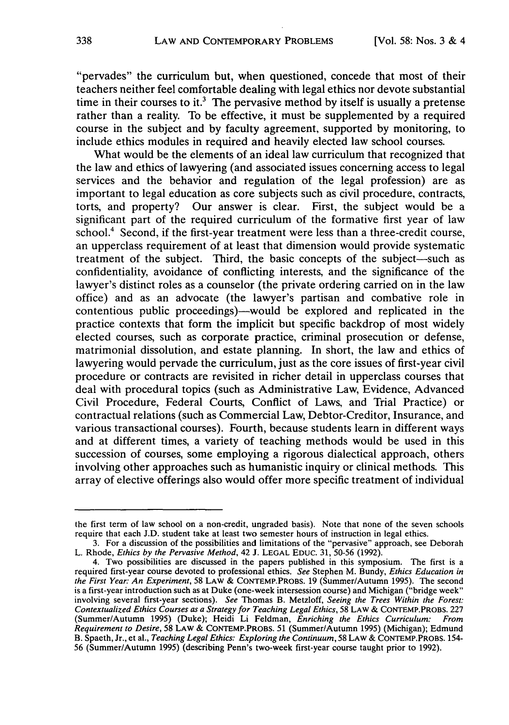"pervades" the curriculum but, when questioned, concede that most of their teachers neither feel comfortable dealing with legal ethics nor devote substantial time in their courses to it.<sup>3</sup> The pervasive method by itself is usually a pretense rather than a reality. To be effective, it must be supplemented by a required course in the subject and by faculty agreement, supported by monitoring, to include ethics modules in required and heavily elected law school courses.

What would be the elements of an ideal law curriculum that recognized that the law and ethics of lawyering (and associated issues concerning access to legal services and the behavior and regulation of the legal profession) are as important to legal education as core subjects such as civil procedure, contracts, torts, and property? Our answer is clear. First, the subject would be a significant part of the required curriculum of the formative first year of law school.4 Second, if the first-year treatment were less than a three-credit course, an upperclass requirement of at least that dimension would provide systematic treatment of the subject. Third, the basic concepts of the subject—such as confidentiality, avoidance of conflicting interests, and the significance of the lawyer's distinct roles as a counselor (the private ordering carried on in the law office) and as an advocate (the lawyer's partisan and combative role in contentious public proceedings)-would be explored and replicated in the practice contexts that form the implicit but specific backdrop of most widely elected courses, such as corporate practice, criminal prosecution or defense, matrimonial dissolution, and estate planning. In short, the law and ethics of lawyering would pervade the curriculum, just as the core issues of first-year civil procedure or contracts are revisited in richer detail in upperclass courses that deal with procedural topics (such as Administrative Law, Evidence, Advanced Civil Procedure, Federal Courts, Conflict of Laws, and Trial Practice) or contractual relations (such as Commercial Law, Debtor-Creditor, Insurance, and various transactional courses). Fourth, because students learn in different ways and at different times, a variety of teaching methods would be used in this succession of courses, some employing a rigorous dialectical approach, others involving other approaches such as humanistic inquiry or clinical methods. This array of elective offerings also would offer more specific treatment of individual

the first term of law school on a non-credit, ungraded basis). Note that none of the seven schools require that each J.D. student take at least two semester hours of instruction in legal ethics.

<sup>3.</sup> For a discussion of the possibilities and limitations of the "pervasive" approach, see Deborah L. Rhode, *Ethics by the* Pervasive Method, 42 J. LEGAL EDuc. 31, 50-56 (1992).

<sup>4.</sup> Two possibilities are discussed in the papers published in this symposium. The first is a required first-year course devoted to professional ethics. See Stephen M. Bundy, *Ethics Education in the First Year: An Experiment,* 58 LAW & CONTEMP.PROBS. 19 (Summer/Autumn 1995). The second is a first-year introduction such as at Duke (one-week intersession course) and Michigan ("bridge week" involving several first-year sections). *See* Thomas B. Metzloff, *Seeing the Trees Within the Forest:* Contextualized Ethics Courses as a Strategy for *Teaching* Legal Ethics, 58 LAW & CONTEMP.PROBs. 227 (Summer/Autumn 1995) (Duke); Heidi Li Feldman, Enriching *the Ethics* Curriculum: From Requirement *to Desire,* 58 LAW & CONTEMP.PROBS. 51 (Summer/Autumn 1995) (Michigan); Edmund B. Spaeth, Jr., et al., *Teaching* Legal *Ethics: Exploring the Continuum,* 58 LAW & CONTEMP.PROBS. 154- 56 (Summer/Autumn 1995) (describing Penn's two-week first-year course taught prior to 1992).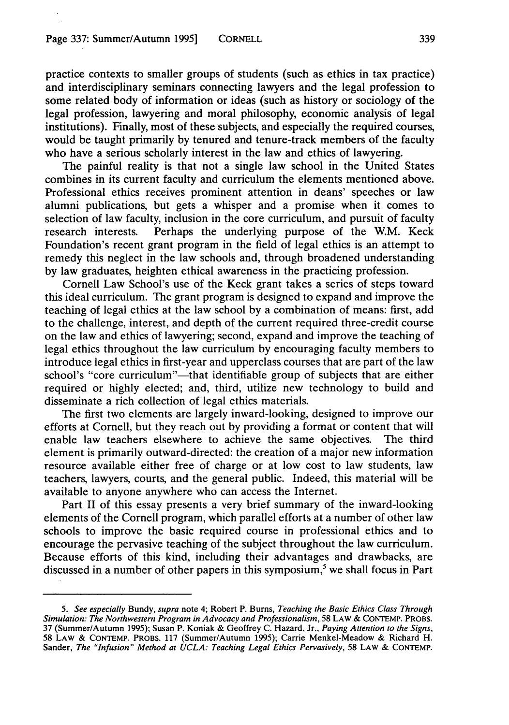practice contexts to smaller groups of students (such as ethics in tax practice) and interdisciplinary seminars connecting lawyers and the legal profession to some related body of information or ideas (such as history or sociology of the legal profession, lawyering and moral philosophy, economic analysis of legal institutions). Finally, most of these subjects, and especially the required courses, would be taught primarily by tenured and tenure-track members of the faculty who have a serious scholarly interest in the law and ethics of lawyering.

The painful reality is that not a single law school in the United States combines in its current faculty and curriculum the elements mentioned above. Professional ethics receives prominent attention in deans' speeches or law alumni publications, but gets a whisper and a promise when it comes to selection of law faculty, inclusion in the core curriculum, and pursuit of faculty research interests. Perhaps the underlying purpose of the W.M. Keck Foundation's recent grant program in the field of legal ethics is an attempt to remedy this neglect in the law schools and, through broadened understanding by law graduates, heighten ethical awareness in the practicing profession.

Cornell Law School's use of the Keck grant takes a series of steps toward this ideal curriculum. The grant program is designed to expand and improve the teaching of legal ethics at the law school by a combination of means: first, add to the challenge, interest, and depth of the current required three-credit course on the law and ethics of lawyering; second, expand and improve the teaching of legal ethics throughout the law curriculum by encouraging faculty members to introduce legal ethics in first-year and upperclass courses that are part of the law school's "core curriculum"—that identifiable group of subjects that are either required or highly elected; and, third, utilize new technology to build and disseminate a rich collection of legal ethics materials.

The first two elements are largely inward-looking, designed to improve our efforts at Cornell, but they reach out by providing a format or content that will enable law teachers elsewhere to achieve the same objectives. The third element is primarily outward-directed: the creation of a major new information resource available either free of charge or at low cost to law students, law teachers, lawyers, courts, and the general public. Indeed, this material will be available to anyone anywhere who can access the Internet.

Part II of this essay presents a very brief summary of the inward-looking elements of the Cornell program, which parallel efforts at a number of other law schools to improve the basic required course in professional ethics and to encourage the pervasive teaching of the subject throughout the law curriculum. Because efforts of this kind, including their advantages and drawbacks, are discussed in a number of other papers in this symposium,<sup>5</sup> we shall focus in Part

*<sup>5.</sup> See especially* Bundy, *supra* note 4; Robert P. Burns, *Teaching the Basic Ethics Class Through Simulation: The Northwestern Program in Advocacy and Professionalism,* 58 LAW **&** CONTEMP. PROBS. 37 (Summer/Autumn 1995); Susan P. Koniak & Geoffrey C. Hazard, Jr., *Paying Attention to the Signs,* 58 LAW **& CONTEMP.** PROBS. 117 (Summer/Autumn 1995); Carrie Menkel-Meadow & Richard H. Sander, *The "Infusion" Method at UCLA: Teaching Legal Ethics Pervasively,* 58 LAW & **CONTEMP.**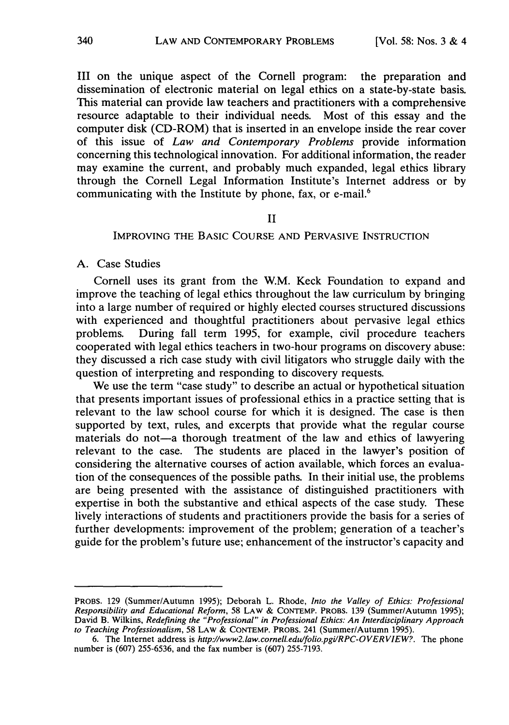III on the unique aspect of the Cornell program: the preparation and dissemination of electronic material on legal ethics on a state-by-state basis. This material can provide law teachers and practitioners with a comprehensive resource adaptable to their individual needs. Most of this essay and the computer disk (CD-ROM) that is inserted in an envelope inside the rear cover of this issue of *Law and Contemporary Problems* provide information concerning this technological innovation. For additional information, the reader may examine the current, and probably much expanded, legal ethics library through the Cornell Legal Information Institute's Internet address or by communicating with the Institute by phone, fax, or e-mail.<sup>6</sup>

#### II

## IMPROVING THE BASIC COURSE AND PERVASIVE INSTRUCTION

## A. Case Studies

Cornell uses its grant from the W.M. Keck Foundation to expand and improve the teaching of legal ethics throughout the law curriculum by bringing into a large number of required or highly elected courses structured discussions with experienced and thoughtful practitioners about pervasive legal ethics problems. During fall term 1995, for example, civil procedure teachers cooperated with legal ethics teachers in two-hour programs on discovery abuse: they discussed a rich case study with civil litigators who struggle daily with the question of interpreting and responding to discovery requests.

We use the term "case study" to describe an actual or hypothetical situation that presents important issues of professional ethics in a practice setting that is relevant to the law school course for which it is designed. The case is then supported by text, rules, and excerpts that provide what the regular course materials do not-a thorough treatment of the law and ethics of lawyering relevant to the case. The students are placed in the lawyer's position of considering the alternative courses of action available, which forces an evaluation of the consequences of the possible paths. In their initial use, the problems are being presented with the assistance of distinguished practitioners with expertise in both the substantive and ethical aspects of the case study. These lively interactions of students and practitioners provide the basis for a series of further developments: improvement of the problem; generation of a teacher's guide for the problem's future use; enhancement of the instructor's capacity and

PROBS. 129 (Summer/Autumn 1995); Deborah L. Rhode, *Into the Valley of Ethics: Professional Responsibility and Educational Reform,* 58 LAW & CONTEMP. PROBS. 139 (Summer/Autumn 1995); David B. Wilkins, *Redefining the "Professional" in Professional Ethics: An Interdisciplinary Approach to Teaching Professionalism,* 58 LAW & CONTEMP. PROBS. 241 (Summer/Autumn 1995).

<sup>6.</sup> The Internet address is *http://www2.law.cornell.edu/folio.pgi/RPC-0 VER VIEW?.* The phone number is (607) 255-6536, and the fax number is (607) 255-7193.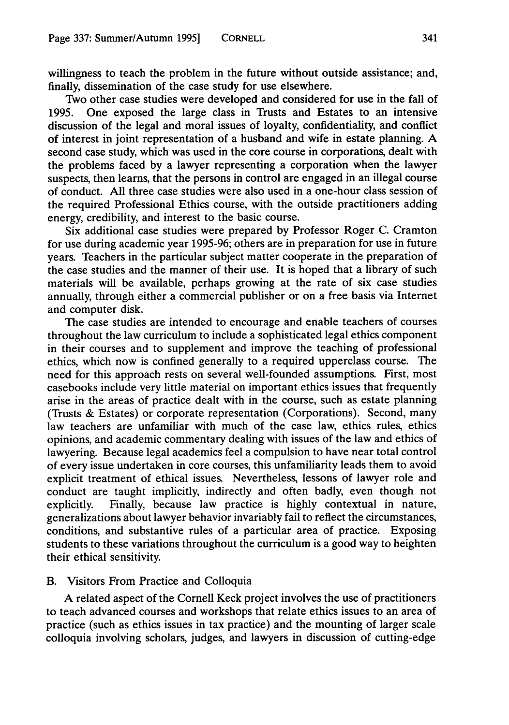willingness to teach the problem in the future without outside assistance; and, finally, dissemination of the case study for use elsewhere.

Two other case studies were developed and considered for use in the fall of 1995. One exposed the large class in Trusts and Estates to an intensive discussion of the legal and moral issues of loyalty, confidentiality, and conflict of interest in joint representation of a husband and wife in estate planning. A second case study, which was used in the core course in corporations, dealt with the problems faced by a lawyer representing a corporation when the lawyer suspects, then learns, that the persons in control are engaged in an illegal course of conduct. All three case studies were also used in a one-hour class session of the required Professional Ethics course, with the outside practitioners adding energy, credibility, and interest to the basic course.

Six additional case studies were prepared by Professor Roger C. Cramton for use during academic year 1995-96; others are in preparation for use in future years. Teachers in the particular subject matter cooperate in the preparation of the case studies and the manner of their use. It is hoped that a library of such materials will be available, perhaps growing at the rate of six case studies annually, through either a commercial publisher or on a free basis via Internet and computer disk.

The case studies are intended to encourage and enable teachers of courses throughout the law curriculum to include a sophisticated legal ethics component in their courses and to supplement and improve the teaching of professional ethics, which now is confined generally to a required upperclass course. The need for this approach rests on several well-founded assumptions. First, most casebooks include very little material on important ethics issues that frequently arise in the areas of practice dealt with in the course, such as estate planning (Trusts & Estates) or corporate representation (Corporations). Second, many law teachers are unfamiliar with much of the case law, ethics rules, ethics opinions, and academic commentary dealing with issues of the law and ethics of lawyering. Because legal academics feel a compulsion to have near total control of every issue undertaken in core courses, this unfamiliarity leads them to avoid explicit treatment of ethical issues. Nevertheless, lessons of lawyer role and conduct are taught implicitly, indirectly and often badly, even though not explicitly. Finally, because law practice is highly contextual in nature, generalizations about lawyer behavior invariably fail to reflect the circumstances, conditions, and substantive rules of a particular area of practice. Exposing students to these variations throughout the curriculum is a good way to heighten their ethical sensitivity.

## B. Visitors From Practice and Colloquia

A related aspect of the Cornell Keck project involves the use of practitioners to teach advanced courses and workshops that relate ethics issues to an area of practice (such as ethics issues in tax practice) and the mounting of larger scale colloquia involving scholars, judges, and lawyers in discussion of cutting-edge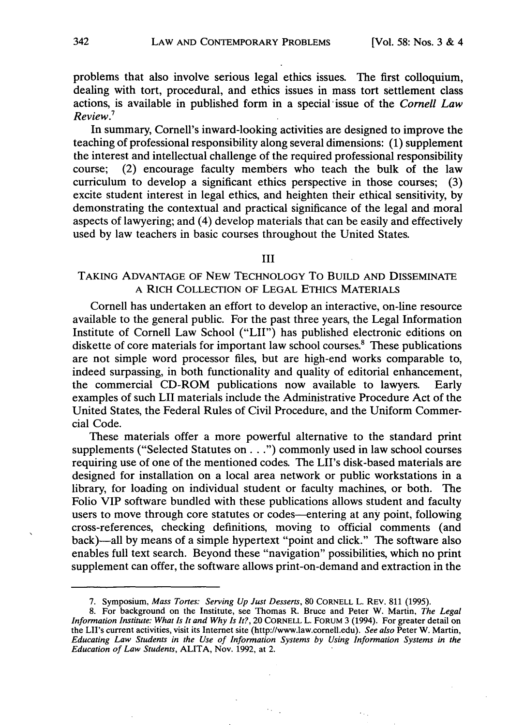problems that also involve serious legal ethics issues. The first colloquium, dealing with tort, procedural, and ethics issues in mass tort settlement class actions, is available in published form in a special-issue of the *Cornell Law Review.7*

In summary, Cornell's inward-looking activities are designed to improve the teaching of professional responsibility along several dimensions: (1) supplement the interest and intellectual challenge of the required professional responsibility course; (2) encourage faculty members who teach the bulk of the law curriculum to develop a significant ethics perspective in those courses; (3) excite student interest in legal ethics, and heighten their ethical sensitivity, by demonstrating the contextual and practical significance of the legal and moral aspects of lawyering; and (4) develop materials that can be easily and effectively used by law teachers in basic courses throughout the United States.

#### III

## TAKING ADVANTAGE OF NEW TECHNOLOGY To BUILD AND DISSEMINATE A RICH COLLECTION OF LEGAL ETHICS MATERIALS

Cornell has undertaken an effort to develop an interactive, on-line resource available to the general public. For the past three years, the Legal Information Institute of Cornell Law School ("LII") has published electronic editions on diskette of core materials for important law school courses.<sup>8</sup> These publications are not simple word processor files, but are high-end works comparable to, indeed surpassing, in both functionality and quality of editorial enhancement, the commercial CD-ROM publications now available to lawyers. Early examples of such LII materials include the Administrative Procedure Act of the United States, the Federal Rules of Civil Procedure, and the Uniform Commercial Code.

These materials offer a more powerful alternative to the standard print supplements ("Selected Statutes on...") commonly used in law school courses requiring use of one of the mentioned codes. The LII's disk-based materials are designed for installation on a local area network or public workstations in a library, for loading on individual student or faculty machines, or both. The Folio VIP software bundled with these publications allows student and faculty users to move through core statutes or codes--entering at any point, following cross-references, checking definitions, moving to official comments (and back)-all by means of a simple hypertext "point and click." The software also enables full text search. Beyond these "navigation" possibilities, which no print supplement can offer, the software allows print-on-demand and extraction in the

ki,

**<sup>7.</sup>** Symposium, *Mass Tortes: Serving Up Just Desserts,* 80 CORNELL L. REV. **811** (1995).

<sup>8.</sup> For background on the Institute, see Thomas R. Bruce and Peter W. Martin, *The Legal Information Institute: What Is It and Why Is It?,* 20 CORNELL L. FORUM 3 (1994). For greater detail on the LII's current activities, visit its Internet site (http://www.law.cornell.edu). *See also* Peter W. Martin, *Educating Law Students in the Use of Information Systems by Using Information Systems in the Education of Law Students,* ALITA, Nov. 1992, at 2.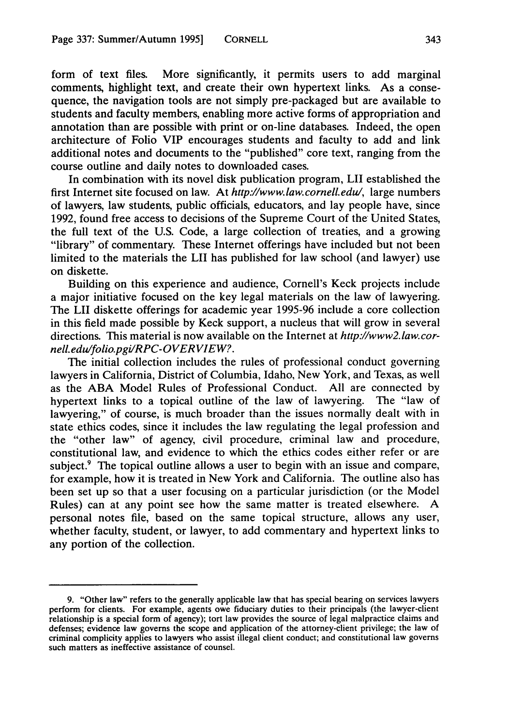form of text files. More significantly, it permits users to add marginal comments, highlight text, and create their own hypertext links. As a consequence, the navigation tools are not simply pre-packaged but are available to students and faculty members, enabling more active forms of appropriation and annotation than are possible with print or on-line databases. Indeed, the open architecture of Folio VIP encourages students and faculty to add and link additional notes and documents to the "published" core text, ranging from the course outline and daily notes to downloaded cases.

In combination with its novel disk publication program, LII established the first Internet site focused on law. At *http://www.law.cornel.edu/,* large numbers of lawyers, law students, public officials, educators, and lay people have, since 1992, found free access to decisions of the Supreme Court of the United States, the full text of the U.S. Code, a large collection of treaties, and a growing "library" of commentary. These Internet offerings have included but not been limited to the materials the LII has published for law school (and lawyer) use on diskette.

Building on this experience and audience, Cornell's Keck projects include a major initiative focused on the key legal materials on the law of lawyering. The LII diskette offerings for academic year 1995-96 include a core collection in this field made possible by Keck support, a nucleus that will grow in several directions. This material is now available on the Internet at *http://www2.law.cornell.edu/folio.pgi/RPC-OVERVIEW?.*

The initial collection includes the rules of professional conduct governing lawyers in California, District of Columbia, Idaho, New York, and Texas, as well as the ABA Model Rules of Professional Conduct. All are connected by hypertext links to a topical outline of the law of lawyering. The "law of lawyering," of course, is much broader than the issues normally dealt with in state ethics codes, since it includes the law regulating the legal profession and the "other law" of agency, civil procedure, criminal law and procedure, constitutional law, and evidence to which the ethics codes either refer or are subject.<sup>9</sup> The topical outline allows a user to begin with an issue and compare, for example, how it is treated in New York and California. The outline also has been set up so that a user focusing on a particular jurisdiction (or the Model Rules) can at any point see how the same matter is treated elsewhere. A personal notes file, based on the same topical structure, allows any user, whether faculty, student, or lawyer, to add commentary and hypertext links to any portion of the collection.

<sup>9. &</sup>quot;Other law" refers to the generally applicable law that has special bearing on services lawyers perform for clients. For example, agents owe fiduciary duties to their principals (the lawyer-clien relationship is a special form of agency); tort law provides the source of legal malpractice claims and defenses; evidence law governs the scope and application of the attorney-client privilege; the law of criminal complicity applies to lawyers who assist illegal client conduct; and constitutional law governs such matters as ineffective assistance of counsel.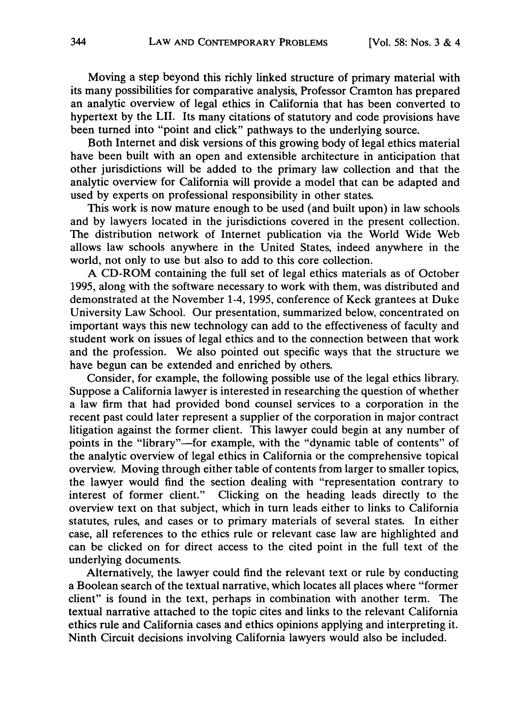Moving a step beyond this richly linked structure of primary material with its many possibilities for comparative analysis, Professor Cramton has prepared an analytic overview of legal ethics in California that has been converted to hypertext by the LII. Its many citations of statutory and code provisions have been turned into "point and click" pathways to the underlying source.

Both Internet and disk versions of this growing body of legal ethics material have been built with an open and extensible architecture in anticipation that other jurisdictions will be added to the primary law collection and that the analytic overview for California will provide a model that can be adapted and used by experts on professional responsibility in other states.

This work is now mature enough to be used (and built upon) in law schools and by lawyers located in the jurisdictions covered in the present collection. The distribution network of Internet publication via the World Wide Web allows law schools anywhere in the United States, indeed anywhere in the world, not only to use but also to add to this core collection.

A CD-ROM containing the full set of legal ethics materials as of October 1995, along with the software necessary to work with them, was distributed and demonstrated at the November 1-4, 1995, conference of Keck grantees at Duke University Law School. Our presentation, summarized below, concentrated on important ways this new technology can add to the effectiveness of faculty and student work on issues of legal ethics and to the connection between that work and the profession. We also pointed out specific ways that the structure we have begun can be extended and enriched by others.

Consider, for example, the following possible use of the legal ethics library. Suppose a California lawyer is interested in researching the question of whether a law firm that had provided bond counsel services to a corporation in the recent past could later represent a supplier of the corporation in major contract litigation against the former client. This lawyer could begin at any number of points in the "library"-for example, with the "dynamic table of contents" of the analytic overview of legal ethics in California or the comprehensive topical overview. Moving through either table of contents from larger to smaller topics, the lawyer would find the section dealing with "representation contrary to interest of former client." Clicking on the heading leads directly to the overview text on that subject, which in turn leads either to links to California statutes, rules, and cases or to primary materials of several states. In either case, all references to the ethics rule or relevant case law are highlighted and can be clicked on for direct access to the cited point in the full text of the underlying documents.

Alternatively, the lawyer could find the relevant text or rule by conducting a Boolean search of the textual narrative, which locates all places where "former client" is found in the text, perhaps in combination with another term. The textual narrative attached to the topic cites and links to the relevant California ethics rule and California cases and ethics opinions applying and interpreting it. Ninth Circuit decisions involving California lawyers would also be included.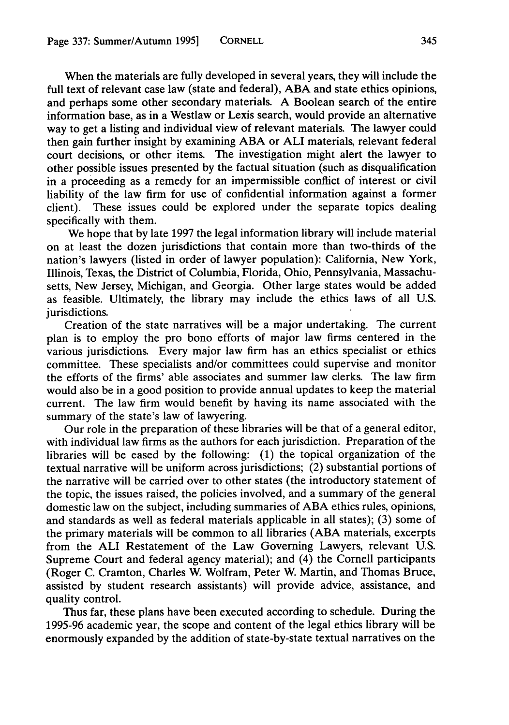When the materials are fully developed in several years, they will include the full text of relevant case law (state and federal), ABA and state ethics opinions, and perhaps some other secondary materials. A Boolean search of the entire information base, as in a Westlaw or Lexis search, would provide an alternative way to get a listing and individual view of relevant materials. The lawyer could then gain further insight by examining ABA or ALI materials, relevant federal court decisions, or other items. The investigation might alert the lawyer to other possible issues presented by the factual situation (such as disqualification in a proceeding as a remedy for an impermissible conflict of interest or civil liability of the law firm for use of confidential information against a former client). These issues could be explored under the separate topics dealing specifically with them.

We hope that by late 1997 the legal information library will include material on at least the dozen jurisdictions that contain more than two-thirds of the nation's lawyers (listed in order of lawyer population): California, New York, Illinois, Texas, the District of Columbia, Florida, Ohio, Pennsylvania, Massachusetts, New Jersey, Michigan, and Georgia. Other large states would be added as feasible. Ultimately, the library may include the ethics laws of all U.S. jurisdictions.

Creation of the state narratives will be a major undertaking. The current plan is to employ the pro bono efforts of major law firms centered in the various jurisdictions. Every major law firm has an ethics specialist or ethics committee. These specialists and/or committees could supervise and monitor the efforts of the firms' able associates and summer law clerks. The law firm would also be in a good position to provide annual updates to keep the material current. The law firm would benefit by having its name associated with the summary of the state's law of lawyering.

Our role in the preparation of these libraries will be that of a general editor, with individual law firms as the authors for each jurisdiction. Preparation of the libraries will be eased by the following: (1) the topical organization of the textual narrative will be uniform across jurisdictions; (2) substantial portions of the narrative will be carried over to other states (the introductory statement of the topic, the issues raised, the policies involved, and a summary of the general domestic law on the subject, including summaries of ABA ethics rules, opinions, and standards as well as federal materials applicable in all states); (3) some of the primary materials will be common to all libraries (ABA materials, excerpts from the **ALI** Restatement of the Law Governing Lawyers, relevant U.S. Supreme Court and federal agency material); and (4) the Cornell participants (Roger C. Cramton, Charles W. Wolfram, Peter W. Martin, and Thomas Bruce, assisted by student research assistants) will provide advice, assistance, and quality control.

Thus far, these plans have been executed according to schedule. During the 1995-96 academic year, the scope and content of the legal ethics library will be enormously expanded by the addition of state-by-state textual narratives on the